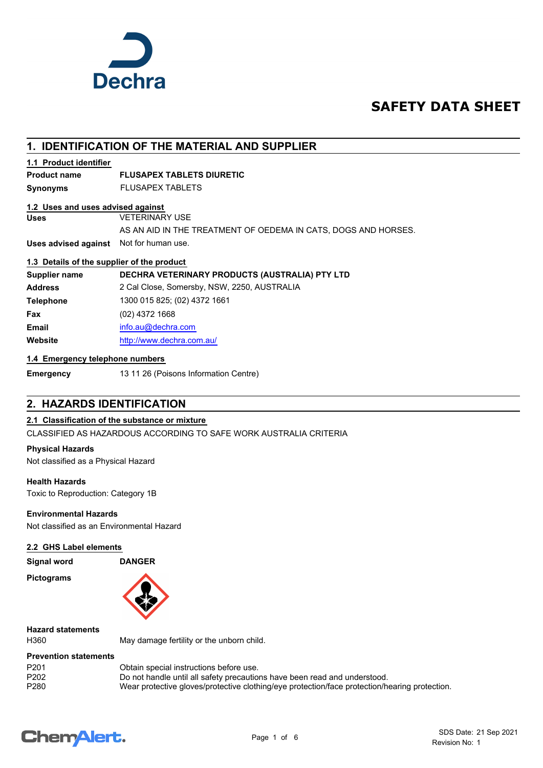

## **SAFETY DATA SHEET**

## **1. IDENTIFICATION OF THE MATERIAL AND SUPPLIER**

#### **1.1 Product identifier**

## **Product name FLUSAPEX TABLETS DIURETIC**

**Synonyms** FLUSAPEX TABLETS

#### **1.2 Uses and uses advised against**

**Uses** VETERINARY USE

#### AS AN AID IN THE TREATMENT OF OEDEMA IN CATS, DOGS AND HORSES.

**Uses advised against** Not for human use.

#### **1.3 Details of the supplier of the product**

**Supplier name DECHRA VETERINARY PRODUCTS (AUSTRALIA) PTY LTD Address** 2 Cal Close, Somersby, NSW, 2250, AUSTRALIA **Telephone** 1300 015 825; (02) 4372 1661 **Fax** (02) 4372 1668 **Email** [info.au@](mailto:info.au@dechra.com)dechra.com **Website** [http://www.](http://www.dechra.com.au/)dechra.com.au/

### **1.4 Emergency telephone numbers**

**Emergency** 13 11 26 (Poisons Information Centre)

## **2. HAZARDS IDENTIFICATION**

## **2.1 Classification of the substance or mixture**

CLASSIFIED AS HAZARDOUS ACCORDING TO SAFE WORK AUSTRALIA CRITERIA

#### **Physical Hazards**

Not classified as a Physical Hazard

#### **Health Hazards**

Toxic to Reproduction: Category 1B

### **Environmental Hazards**

Not classified as an Environmental Hazard

#### **2.2 GHS Label elements**

**Signal word DANGER**

**Pictograms**



**Hazard statements**

H360 May damage fertility or the unborn child.

#### **Prevention statements**

| P <sub>201</sub> | Obtain special instructions before use.                                                       |
|------------------|-----------------------------------------------------------------------------------------------|
| P <sub>202</sub> | Do not handle until all safety precautions have been read and understood.                     |
| P280             | Wear protective gloves/protective clothing/eye protection/face protection/hearing protection. |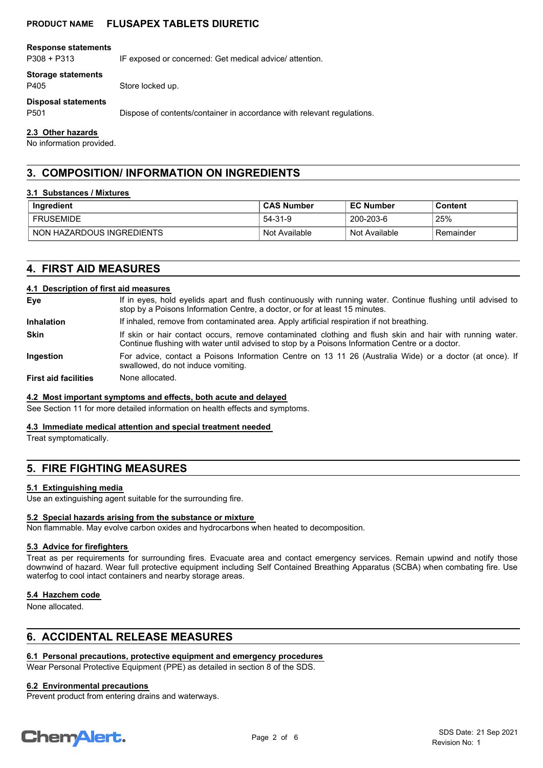#### **PRODUCT NAME FLUSAPEX TABLETS DIURETIC**

#### **Response statements**

P308 + P313 IF exposed or concerned: Get medical advice/ attention.

#### **Storage statements**

P405 Store locked up.

#### **Disposal statements**

P501 Dispose of contents/container in accordance with relevant regulations.

#### **2.3 Other hazards**

No information provided.

## **3. COMPOSITION/ INFORMATION ON INGREDIENTS**

#### **3.1 Substances / Mixtures**

| Ingredient                | <b>CAS Number</b> | <b>EC Number</b> | Content   |
|---------------------------|-------------------|------------------|-----------|
| <b>FRUSEMIDE</b>          | 54-31-9           | 200-203-6        | 25%       |
| NON HAZARDOUS INGREDIENTS | ์ Not Available   | Not Available    | Remainder |

## **4. FIRST AID MEASURES**

#### **4.1 Description of first aid measures**

| Eye                         | If in eyes, hold eyelids apart and flush continuously with running water. Continue flushing until advised to<br>stop by a Poisons Information Centre, a doctor, or for at least 15 minutes.                 |  |  |
|-----------------------------|-------------------------------------------------------------------------------------------------------------------------------------------------------------------------------------------------------------|--|--|
| <b>Inhalation</b>           | If inhaled, remove from contaminated area. Apply artificial respiration if not breathing.                                                                                                                   |  |  |
| <b>Skin</b>                 | If skin or hair contact occurs, remove contaminated clothing and flush skin and hair with running water.<br>Continue flushing with water until advised to stop by a Poisons Information Centre or a doctor. |  |  |
| <b>Ingestion</b>            | For advice, contact a Poisons Information Centre on 13 11 26 (Australia Wide) or a doctor (at once). If<br>swallowed, do not induce vomiting.                                                               |  |  |
| <b>First aid facilities</b> | None allocated.                                                                                                                                                                                             |  |  |

#### **4.2 Most important symptoms and effects, both acute and delayed**

See Section 11 for more detailed information on health effects and symptoms.

#### **4.3 Immediate medical attention and special treatment needed**

Treat symptomatically.

## **5. FIRE FIGHTING MEASURES**

#### **5.1 Extinguishing media**

Use an extinguishing agent suitable for the surrounding fire.

#### **5.2 Special hazards arising from the substance or mixture**

Non flammable. May evolve carbon oxides and hydrocarbons when heated to decomposition.

#### **5.3 Advice for firefighters**

Treat as per requirements for surrounding fires. Evacuate area and contact emergency services. Remain upwind and notify those downwind of hazard. Wear full protective equipment including Self Contained Breathing Apparatus (SCBA) when combating fire. Use waterfog to cool intact containers and nearby storage areas.

#### **5.4 Hazchem code**

None allocated.

## **6. ACCIDENTAL RELEASE MEASURES**

## **6.1 Personal precautions, protective equipment and emergency procedures**

Wear Personal Protective Equipment (PPE) as detailed in section 8 of the SDS.

## **6.2 Environmental precautions**

Prevent product from entering drains and waterways.

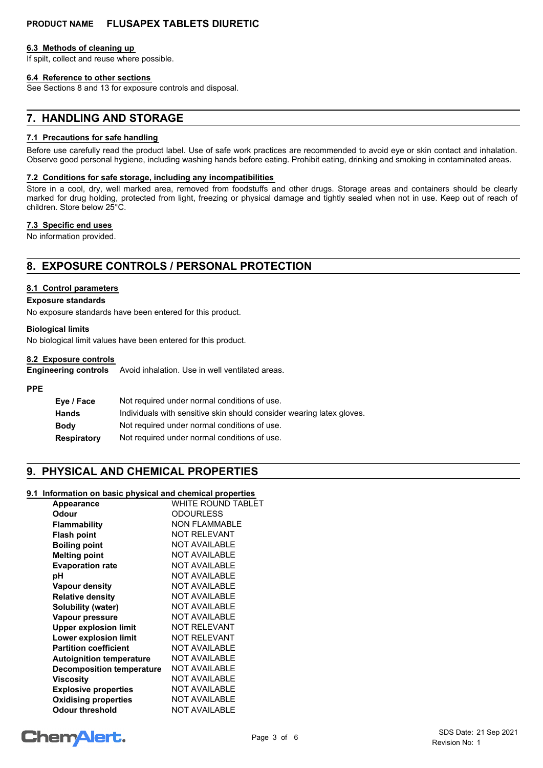## **PRODUCT NAME FLUSAPEX TABLETS DIURETIC**

#### **6.3 Methods of cleaning up**

If spilt, collect and reuse where possible.

#### **6.4 Reference to other sections**

See Sections 8 and 13 for exposure controls and disposal.

## **7. HANDLING AND STORAGE**

#### **7.1 Precautions for safe handling**

Before use carefully read the product label. Use of safe work practices are recommended to avoid eye or skin contact and inhalation. Observe good personal hygiene, including washing hands before eating. Prohibit eating, drinking and smoking in contaminated areas.

#### **7.2 Conditions for safe storage, including any incompatibilities**

Store in a cool, dry, well marked area, removed from foodstuffs and other drugs. Storage areas and containers should be clearly marked for drug holding, protected from light, freezing or physical damage and tightly sealed when not in use. Keep out of reach of children. Store below 25°C.

#### **7.3 Specific end uses**

No information provided.

## **8. EXPOSURE CONTROLS / PERSONAL PROTECTION**

#### **8.1 Control parameters**

#### **Exposure standards**

No exposure standards have been entered for this product.

#### **Biological limits**

No biological limit values have been entered for this product.

#### **8.2 Exposure controls**

**Engineering controls** Avoid inhalation. Use in well ventilated areas.

#### **PPE**

| Eye / Face         | Not required under normal conditions of use.                          |  |
|--------------------|-----------------------------------------------------------------------|--|
| <b>Hands</b>       | Individuals with sensitive skin should consider wearing latex gloves. |  |
| <b>Body</b>        | Not required under normal conditions of use.                          |  |
| <b>Respiratory</b> | Not required under normal conditions of use.                          |  |

## **9. PHYSICAL AND CHEMICAL PROPERTIES**

#### **9.1 Information on basic physical and chemical properties**

| Appearance                       | WHITE ROUND TABLET   |
|----------------------------------|----------------------|
| Odour                            | <b>ODOURLESS</b>     |
| Flammability                     | <b>NON FLAMMABLE</b> |
| <b>Flash point</b>               | <b>NOT RELEVANT</b>  |
| <b>Boiling point</b>             | <b>NOT AVAILABLE</b> |
| <b>Melting point</b>             | <b>NOT AVAILABLE</b> |
| <b>Evaporation rate</b>          | <b>NOT AVAILABLE</b> |
| рH                               | <b>NOT AVAILABLE</b> |
| <b>Vapour density</b>            | <b>NOT AVAILABLE</b> |
| <b>Relative density</b>          | <b>NOT AVAILABLE</b> |
| Solubility (water)               | <b>NOT AVAILABLE</b> |
| Vapour pressure                  | <b>NOT AVAILABLE</b> |
| <b>Upper explosion limit</b>     | <b>NOT RELEVANT</b>  |
| <b>Lower explosion limit</b>     | <b>NOT RELEVANT</b>  |
| <b>Partition coefficient</b>     | <b>NOT AVAILABLE</b> |
| <b>Autoignition temperature</b>  | <b>NOT AVAILABLE</b> |
| <b>Decomposition temperature</b> | <b>NOT AVAILABLE</b> |
| Viscositv                        | <b>NOT AVAILABLE</b> |
| <b>Explosive properties</b>      | <b>NOT AVAILABLE</b> |
| <b>Oxidising properties</b>      | <b>NOT AVAILABLE</b> |
| Odour threshold                  | <b>NOT AVAILABLE</b> |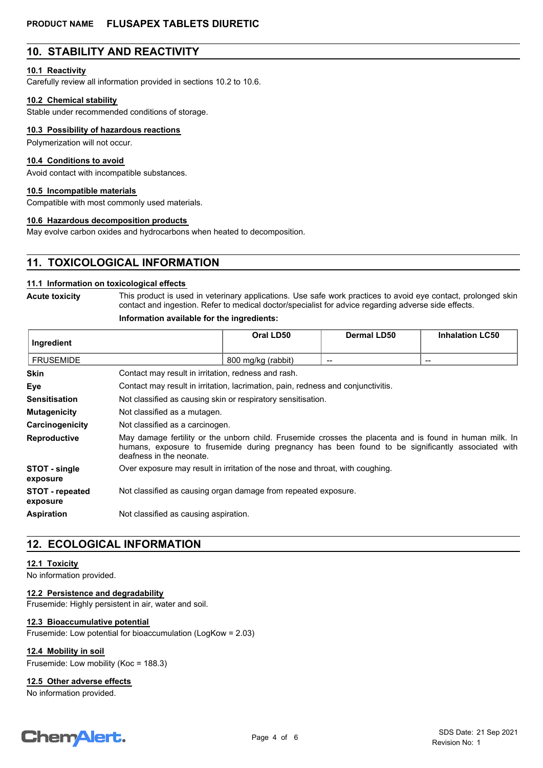## **10. STABILITY AND REACTIVITY**

#### **10.1 Reactivity**

Carefully review all information provided in sections 10.2 to 10.6.

#### **10.2 Chemical stability**

Stable under recommended conditions of storage.

#### **10.3 Possibility of hazardous reactions**

Polymerization will not occur.

#### **10.4 Conditions to avoid**

Avoid contact with incompatible substances.

#### **10.5 Incompatible materials**

Compatible with most commonly used materials.

#### **10.6 Hazardous decomposition products**

May evolve carbon oxides and hydrocarbons when heated to decomposition.

## **11. TOXICOLOGICAL INFORMATION**

#### **11.1 Information on toxicological effects**

**Acute toxicity**

This product is used in veterinary applications. Use safe work practices to avoid eye contact, prolonged skin contact and ingestion. Refer to medical doctor/specialist for advice regarding adverse side effects.

#### **Information available for the ingredients:**

| Ingredient                         |                                                                                                                                                                                                                                          | Oral LD50          | Dermal LD50 | <b>Inhalation LC50</b> |
|------------------------------------|------------------------------------------------------------------------------------------------------------------------------------------------------------------------------------------------------------------------------------------|--------------------|-------------|------------------------|
| <b>FRUSEMIDE</b>                   |                                                                                                                                                                                                                                          | 800 mg/kg (rabbit) |             | --                     |
| <b>Skin</b>                        | Contact may result in irritation, redness and rash.                                                                                                                                                                                      |                    |             |                        |
| Eye                                | Contact may result in irritation, lacrimation, pain, redness and conjunctivitis.                                                                                                                                                         |                    |             |                        |
| <b>Sensitisation</b>               | Not classified as causing skin or respiratory sensitisation.                                                                                                                                                                             |                    |             |                        |
| <b>Mutagenicity</b>                | Not classified as a mutagen.                                                                                                                                                                                                             |                    |             |                        |
| Carcinogenicity                    | Not classified as a carcinogen.                                                                                                                                                                                                          |                    |             |                        |
| <b>Reproductive</b>                | May damage fertility or the unborn child. Frusemide crosses the placenta and is found in human milk. In<br>humans, exposure to frusemide during pregnancy has been found to be significantly associated with<br>deafness in the neonate. |                    |             |                        |
| STOT - single<br>exposure          | Over exposure may result in irritation of the nose and throat, with coughing.                                                                                                                                                            |                    |             |                        |
| <b>STOT</b> - repeated<br>exposure | Not classified as causing organ damage from repeated exposure.                                                                                                                                                                           |                    |             |                        |
| <b>Aspiration</b>                  | Not classified as causing aspiration.                                                                                                                                                                                                    |                    |             |                        |

## **12. ECOLOGICAL INFORMATION**

#### **12.1 Toxicity**

No information provided.

#### **12.2 Persistence and degradability**

Frusemide: Highly persistent in air, water and soil.

#### **12.3 Bioaccumulative potential**

Frusemide: Low potential for bioaccumulation (LogKow = 2.03)

**12.4 Mobility in soil**

Frusemide: Low mobility (Koc = 188.3)

#### **12.5 Other adverse effects**

No information provided.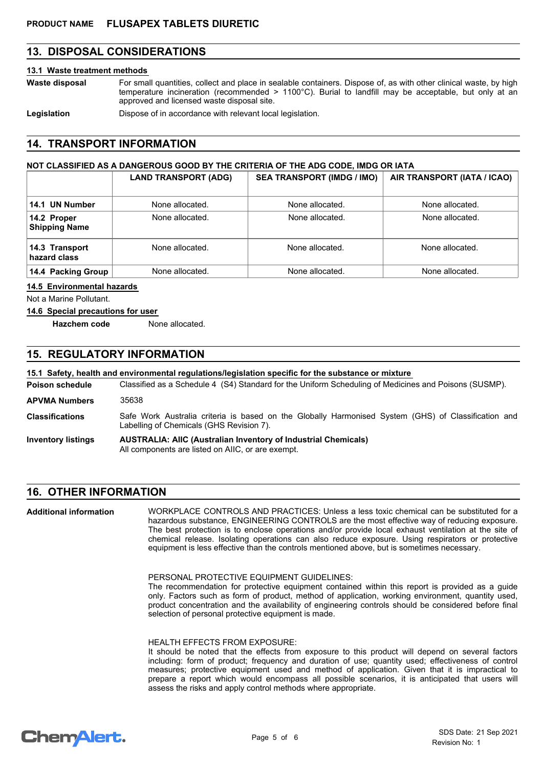## **13. DISPOSAL CONSIDERATIONS**

#### **13.1 Waste treatment methods**

For small quantities, collect and place in sealable containers. Dispose of, as with other clinical waste, by high temperature incineration (recommended > 1100°C). Burial to landfill may be acceptable, but only at an approved and licensed waste disposal site. **Waste disposal**

Legislation **Dispose of in accordance with relevant local legislation.** 

## **14. TRANSPORT INFORMATION**

#### **NOT CLASSIFIED AS A DANGEROUS GOOD BY THE CRITERIA OF THE ADG CODE, IMDG OR IATA**

|                                     | <b>LAND TRANSPORT (ADG)</b> | <b>SEA TRANSPORT (IMDG / IMO)</b> | AIR TRANSPORT (IATA / ICAO) |
|-------------------------------------|-----------------------------|-----------------------------------|-----------------------------|
| 14.1 UN Number                      | None allocated.             | None allocated.                   | None allocated.             |
| 14.2 Proper<br><b>Shipping Name</b> | None allocated.             | None allocated.                   | None allocated.             |
| 14.3 Transport<br>hazard class      | None allocated.             | None allocated.                   | None allocated.             |
| 14.4 Packing Group                  | None allocated.             | None allocated.                   | None allocated.             |

#### **14.5 Environmental hazards**

Not a Marine Pollutant.

#### **14.6 Special precautions for user**

**Hazchem code** None allocated.

## **15. REGULATORY INFORMATION**

#### **15.1 Safety, health and environmental regulations/legislation specific for the substance or mixture**

Classified as a Schedule 4 (S4) Standard for the Uniform Scheduling of Medicines and Poisons (SUSMP). **Poison schedule** Safe Work Australia criteria is based on the Globally Harmonised System (GHS) of Classification and Labelling of Chemicals (GHS Revision 7). **Classifications APVMA Numbers** 35638

#### **AUSTRALIA: AIIC (Australian Inventory of Industrial Chemicals)** All components are listed on AIIC, or are exempt. **Inventory listings**

## **16. OTHER INFORMATION**

WORKPLACE CONTROLS AND PRACTICES: Unless a less toxic chemical can be substituted for a hazardous substance, ENGINEERING CONTROLS are the most effective way of reducing exposure. The best protection is to enclose operations and/or provide local exhaust ventilation at the site of chemical release. Isolating operations can also reduce exposure. Using respirators or protective equipment is less effective than the controls mentioned above, but is sometimes necessary. **Additional information**

PERSONAL PROTECTIVE EQUIPMENT GUIDELINES:

The recommendation for protective equipment contained within this report is provided as a guide only. Factors such as form of product, method of application, working environment, quantity used, product concentration and the availability of engineering controls should be considered before final selection of personal protective equipment is made.

#### HEALTH EFFECTS FROM EXPOSURE:

It should be noted that the effects from exposure to this product will depend on several factors including: form of product; frequency and duration of use; quantity used; effectiveness of control measures; protective equipment used and method of application. Given that it is impractical to prepare a report which would encompass all possible scenarios, it is anticipated that users will assess the risks and apply control methods where appropriate.